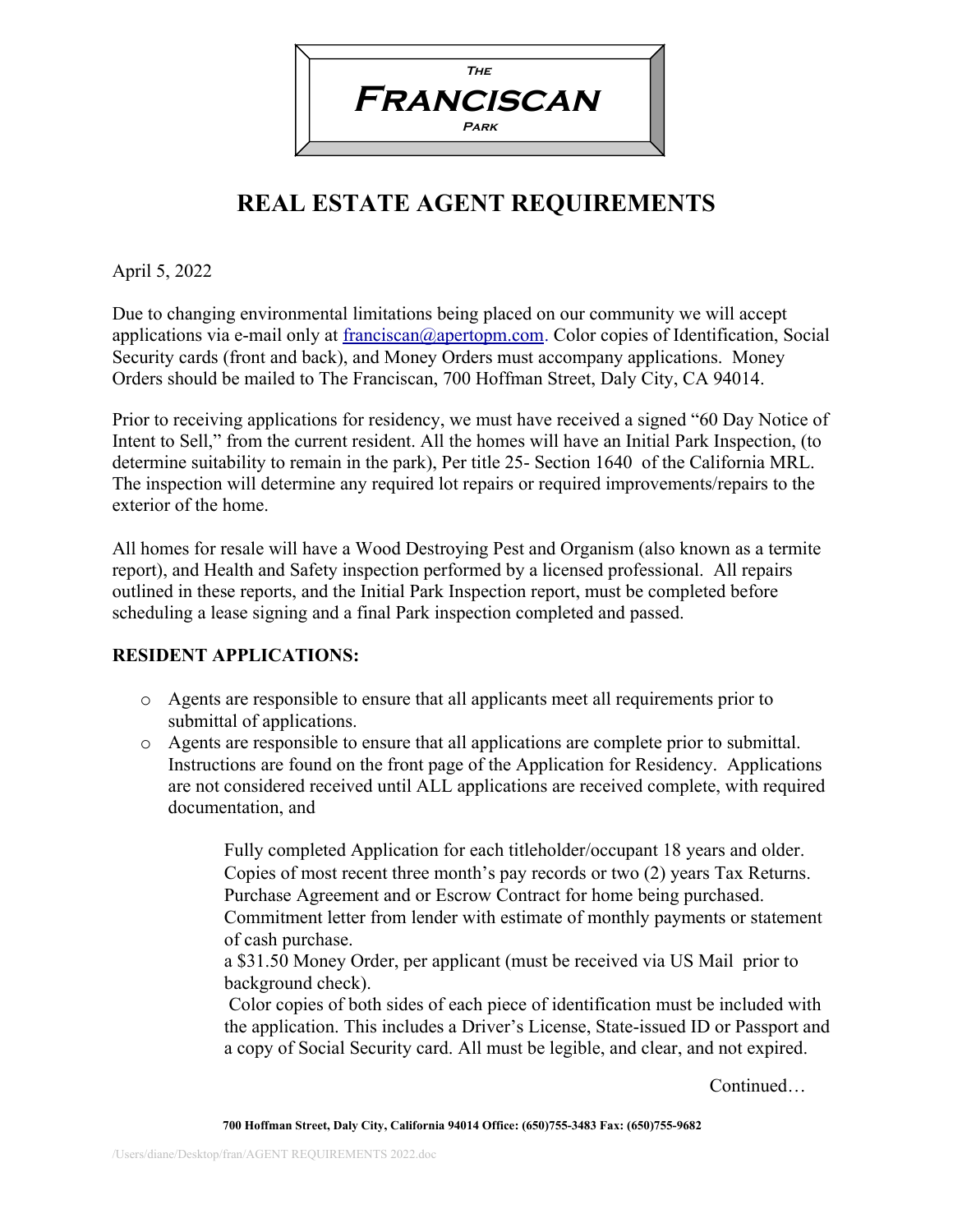

## **REAL ESTATE AGENT REQUIREMENTS**

April 5, 2022

Due to changing environmental limitations being placed on our community we will accept applications via e-mail only at [franciscan@apertopm.com.](mailto:franciscan@apertopm.com) Color copies of Identification, Social Security cards (front and back), and Money Orders must accompany applications. Money Orders should be mailed to The Franciscan, 700 Hoffman Street, Daly City, CA 94014.

Prior to receiving applications for residency, we must have received a signed "60 Day Notice of Intent to Sell," from the current resident. All the homes will have an Initial Park Inspection, (to determine suitability to remain in the park), Per title 25- Section 1640 of the California MRL. The inspection will determine any required lot repairs or required improvements/repairs to the exterior of the home.

All homes for resale will have a Wood Destroying Pest and Organism (also known as a termite report), and Health and Safety inspection performed by a licensed professional. All repairs outlined in these reports, and the Initial Park Inspection report, must be completed before scheduling a lease signing and a final Park inspection completed and passed.

## **RESIDENT APPLICATIONS:**

- o Agents are responsible to ensure that all applicants meet all requirements prior to submittal of applications.
- o Agents are responsible to ensure that all applications are complete prior to submittal. Instructions are found on the front page of the Application for Residency. Applications are not considered received until ALL applications are received complete, with required documentation, and
	- $\Box$  Fully completed Application for each titleholder/occupant 18 years and older.
	- $\Box$  Copies of most recent three month's pay records or two (2) years Tax Returns.
	- $\Box$  Purchase Agreement and or Escrow Contract for home being purchased.
	- $\Box$  Commitment letter from lender with estimate of monthly payments or statement of cash purchase.
	- $\Box$  a \$31.50 Money Order, per applicant (must be received via US Mail prior to background check).
	- $\Box$  Color copies of both sides of each piece of identification must be included with the application. This includes a Driver's License, State-issued ID or Passport and a copy of Social Security card. All must be legible, and clear, and not expired.

Continued…